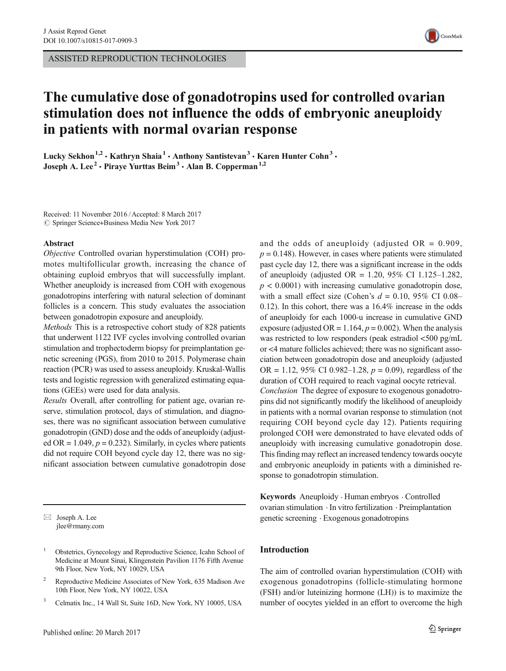ASSISTED REPRODUCTION TECHNOLOGIES



# The cumulative dose of gonadotropins used for controlled ovarian stimulation does not influence the odds of embryonic aneuploidy in patients with normal ovarian response

Lucky Sekhon<sup>1,2</sup> • Kathryn Shaia<sup>1</sup> • Anthony Santistevan<sup>3</sup> • Karen Hunter Cohn<sup>3</sup> • Joseph A. Lee<sup>2</sup> · Piraye Yurttas Beim<sup>3</sup> · Alan B. Copperman<sup>1,2</sup>

Received: 11 November 2016 /Accepted: 8 March 2017  $\circled{c}$  Springer Science+Business Media New York 2017

#### Abstract

Objective Controlled ovarian hyperstimulation (COH) promotes multifollicular growth, increasing the chance of obtaining euploid embryos that will successfully implant. Whether aneuploidy is increased from COH with exogenous gonadotropins interfering with natural selection of dominant follicles is a concern. This study evaluates the association between gonadotropin exposure and aneuploidy.

Methods This is a retrospective cohort study of 828 patients that underwent 1122 IVF cycles involving controlled ovarian stimulation and trophectoderm biopsy for preimplantation genetic screening (PGS), from 2010 to 2015. Polymerase chain reaction (PCR) was used to assess aneuploidy. Kruskal-Wallis tests and logistic regression with generalized estimating equations (GEEs) were used for data analysis.

Results Overall, after controlling for patient age, ovarian reserve, stimulation protocol, days of stimulation, and diagnoses, there was no significant association between cumulative gonadotropin (GND) dose and the odds of aneuploidy (adjusted OR = 1.049,  $p = 0.232$ ). Similarly, in cycles where patients did not require COH beyond cycle day 12, there was no significant association between cumulative gonadotropin dose

 $\boxtimes$  Joseph A. Lee jlee@rmany.com

- <sup>1</sup> Obstetrics, Gynecology and Reproductive Science, Icahn School of Medicine at Mount Sinai, Klingenstein Pavilion 1176 Fifth Avenue 9th Floor, New York, NY 10029, USA
- <sup>2</sup> Reproductive Medicine Associates of New York, 635 Madison Ave 10th Floor, New York, NY 10022, USA
- <sup>3</sup> Celmatix Inc., 14 Wall St, Suite 16D, New York, NY 10005, USA

and the odds of aneuploidy (adjusted  $OR = 0.909$ ,  $p = 0.148$ ). However, in cases where patients were stimulated past cycle day 12, there was a significant increase in the odds of aneuploidy (adjusted OR = 1.20, 95% CI 1.125–1.282,  $p < 0.0001$ ) with increasing cumulative gonadotropin dose, with a small effect size (Cohen's  $d = 0.10, 95\%$  CI 0.08– 0.12). In this cohort, there was a 16.4% increase in the odds of aneuploidy for each 1000-u increase in cumulative GND exposure (adjusted OR =  $1.164$ ,  $p = 0.002$ ). When the analysis was restricted to low responders (peak estradiol <500 pg/mL or <4 mature follicles achieved; there was no significant association between gonadotropin dose and aneuploidy (adjusted OR = 1.12, 95% CI 0.982–1.28,  $p = 0.09$ ), regardless of the duration of COH required to reach vaginal oocyte retrieval. Conclusion The degree of exposure to exogenous gonadotropins did not significantly modify the likelihood of aneuploidy in patients with a normal ovarian response to stimulation (not requiring COH beyond cycle day 12). Patients requiring prolonged COH were demonstrated to have elevated odds of aneuploidy with increasing cumulative gonadotropin dose. This finding may reflect an increased tendency towards oocyte and embryonic aneuploidy in patients with a diminished response to gonadotropin stimulation.

Keywords Aneuploidy . Human embryos . Controlled ovarian stimulation . In vitro fertilization . Preimplantation genetic screening . Exogenous gonadotropins

## Introduction

The aim of controlled ovarian hyperstimulation (COH) with exogenous gonadotropins (follicle-stimulating hormone (FSH) and/or luteinizing hormone (LH)) is to maximize the number of oocytes yielded in an effort to overcome the high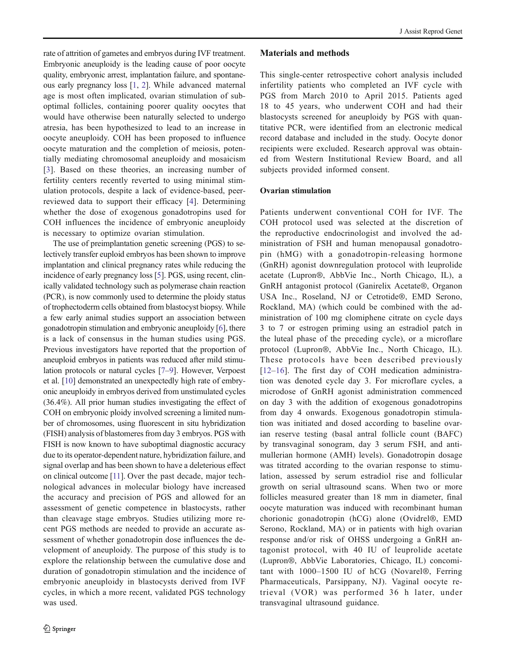rate of attrition of gametes and embryos during IVF treatment. Embryonic aneuploidy is the leading cause of poor oocyte quality, embryonic arrest, implantation failure, and spontaneous early pregnancy loss [\[1,](#page-8-0) [2\]](#page-8-0). While advanced maternal age is most often implicated, ovarian stimulation of suboptimal follicles, containing poorer quality oocytes that would have otherwise been naturally selected to undergo atresia, has been hypothesized to lead to an increase in oocyte aneuploidy. COH has been proposed to influence oocyte maturation and the completion of meiosis, potentially mediating chromosomal aneuploidy and mosaicism [\[3](#page-8-0)]. Based on these theories, an increasing number of fertility centers recently reverted to using minimal stimulation protocols, despite a lack of evidence-based, peerreviewed data to support their efficacy [[4](#page-8-0)]. Determining whether the dose of exogenous gonadotropins used for COH influences the incidence of embryonic aneuploidy is necessary to optimize ovarian stimulation.

The use of preimplantation genetic screening (PGS) to selectively transfer euploid embryos has been shown to improve implantation and clinical pregnancy rates while reducing the incidence of early pregnancy loss [\[5\]](#page-8-0). PGS, using recent, clinically validated technology such as polymerase chain reaction (PCR), is now commonly used to determine the ploidy status of trophectoderm cells obtained from blastocyst biopsy. While a few early animal studies support an association between gonadotropin stimulation and embryonic aneuploidy [\[6](#page-8-0)], there is a lack of consensus in the human studies using PGS. Previous investigators have reported that the proportion of aneuploid embryos in patients was reduced after mild stimulation protocols or natural cycles [[7](#page-8-0)–[9](#page-8-0)]. However, Verpoest et al. [\[10\]](#page-8-0) demonstrated an unexpectedly high rate of embryonic aneuploidy in embryos derived from unstimulated cycles (36.4%). All prior human studies investigating the effect of COH on embryonic ploidy involved screening a limited number of chromosomes, using fluorescent in situ hybridization (FISH) analysis of blastomeres from day 3 embryos. PGS with FISH is now known to have suboptimal diagnostic accuracy due to its operator-dependent nature, hybridization failure, and signal overlap and has been shown to have a deleterious effect on clinical outcome [[11](#page-8-0)]. Over the past decade, major technological advances in molecular biology have increased the accuracy and precision of PGS and allowed for an assessment of genetic competence in blastocysts, rather than cleavage stage embryos. Studies utilizing more recent PGS methods are needed to provide an accurate assessment of whether gonadotropin dose influences the development of aneuploidy. The purpose of this study is to explore the relationship between the cumulative dose and duration of gonadotropin stimulation and the incidence of embryonic aneuploidy in blastocysts derived from IVF cycles, in which a more recent, validated PGS technology was used.

#### Materials and methods

This single-center retrospective cohort analysis included infertility patients who completed an IVF cycle with PGS from March 2010 to April 2015. Patients aged 18 to 45 years, who underwent COH and had their blastocysts screened for aneuploidy by PGS with quantitative PCR, were identified from an electronic medical record database and included in the study. Oocyte donor recipients were excluded. Research approval was obtained from Western Institutional Review Board, and all subjects provided informed consent.

#### Ovarian stimulation

Patients underwent conventional COH for IVF. The COH protocol used was selected at the discretion of the reproductive endocrinologist and involved the administration of FSH and human menopausal gonadotropin (hMG) with a gonadotropin-releasing hormone (GnRH) agonist downregulation protocol with leuprolide acetate (Lupron®, AbbVie Inc., North Chicago, IL), a GnRH antagonist protocol (Ganirelix Acetate®, Organon USA Inc., Roseland, NJ or Cetrotide®, EMD Serono, Rockland, MA) (which could be combined with the administration of 100 mg clomiphene citrate on cycle days 3 to 7 or estrogen priming using an estradiol patch in the luteal phase of the preceding cycle), or a microflare protocol (Lupron®, AbbVie Inc., North Chicago, IL). These protocols have been described previously [\[12](#page-8-0)–[16\]](#page-8-0). The first day of COH medication administration was denoted cycle day 3. For microflare cycles, a microdose of GnRH agonist administration commenced on day 3 with the addition of exogenous gonadotropins from day 4 onwards. Exogenous gonadotropin stimulation was initiated and dosed according to baseline ovarian reserve testing (basal antral follicle count (BAFC) by transvaginal sonogram, day 3 serum FSH, and antimullerian hormone (AMH) levels). Gonadotropin dosage was titrated according to the ovarian response to stimulation, assessed by serum estradiol rise and follicular growth on serial ultrasound scans. When two or more follicles measured greater than 18 mm in diameter, final oocyte maturation was induced with recombinant human chorionic gonadotropin (hCG) alone (Ovidrel®, EMD Serono, Rockland, MA) or in patients with high ovarian response and/or risk of OHSS undergoing a GnRH antagonist protocol, with 40 IU of leuprolide acetate (Lupron®, AbbVie Laboratories, Chicago, IL) concomitant with 1000–1500 IU of hCG (Novarel®, Ferring Pharmaceuticals, Parsippany, NJ). Vaginal oocyte retrieval (VOR) was performed 36 h later, under transvaginal ultrasound guidance.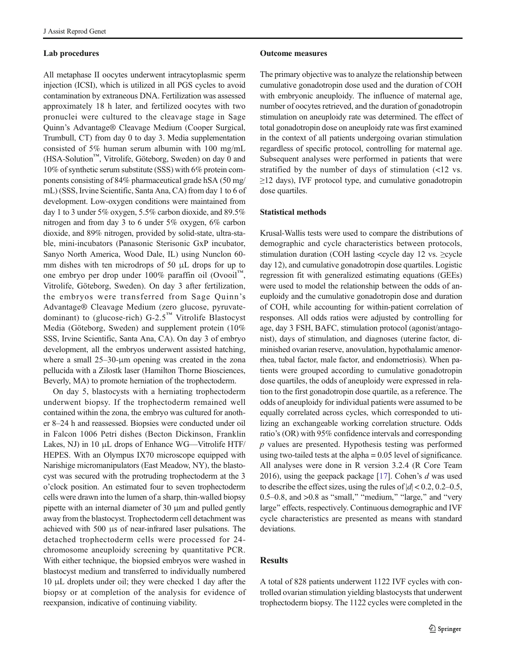## Lab procedures

All metaphase II oocytes underwent intracytoplasmic sperm injection (ICSI), which is utilized in all PGS cycles to avoid contamination by extraneous DNA. Fertilization was assessed approximately 18 h later, and fertilized oocytes with two pronuclei were cultured to the cleavage stage in Sage Quinn's Advantage® Cleavage Medium (Cooper Surgical, Trumbull, CT) from day 0 to day 3. Media supplementation consisted of 5% human serum albumin with 100 mg/mL (HSA-Solution™, Vitrolife, Göteborg, Sweden) on day 0 and 10% of synthetic serum substitute (SSS) with 6% protein components consisting of 84% pharmaceutical grade hSA (50 mg/ mL) (SSS, Irvine Scientific, Santa Ana, CA) from day 1 to 6 of development. Low-oxygen conditions were maintained from day 1 to 3 under 5% oxygen, 5.5% carbon dioxide, and 89.5% nitrogen and from day 3 to 6 under 5% oxygen, 6% carbon dioxide, and 89% nitrogen, provided by solid-state, ultra-stable, mini-incubators (Panasonic Sterisonic GxP incubator, Sanyo North America, Wood Dale, IL) using Nunclon 60 mm dishes with ten microdrops of 50 μL drops for up to one embryo per drop under 100% paraffin oil (Ovooil™, Vitrolife, Göteborg, Sweden). On day 3 after fertilization, the embryos were transferred from Sage Quinn's Advantage® Cleavage Medium (zero glucose, pyruvatedominant) to (glucose-rich) G-2.5™ Vitrolife Blastocyst Media (Göteborg, Sweden) and supplement protein (10% SSS, Irvine Scientific, Santa Ana, CA). On day 3 of embryo development, all the embryos underwent assisted hatching, where a small 25–30-μm opening was created in the zona pellucida with a Zilostk laser (Hamilton Thorne Biosciences, Beverly, MA) to promote herniation of the trophectoderm.

On day 5, blastocysts with a herniating trophectoderm underwent biopsy. If the trophectoderm remained well contained within the zona, the embryo was cultured for another 8–24 h and reassessed. Biopsies were conducted under oil in Falcon 1006 Petri dishes (Becton Dickinson, Franklin Lakes, NJ) in 10 μL drops of Enhance WG—Vitrolife HTF/ HEPES. With an Olympus IX70 microscope equipped with Narishige micromanipulators (East Meadow, NY), the blastocyst was secured with the protruding trophectoderm at the 3 o'clock position. An estimated four to seven trophectoderm cells were drawn into the lumen of a sharp, thin-walled biopsy pipette with an internal diameter of 30 μm and pulled gently away from the blastocyst. Trophectoderm cell detachment was achieved with 500 μs of near-infrared laser pulsations. The detached trophectoderm cells were processed for 24 chromosome aneuploidy screening by quantitative PCR. With either technique, the biopsied embryos were washed in blastocyst medium and transferred to individually numbered 10 μL droplets under oil; they were checked 1 day after the biopsy or at completion of the analysis for evidence of reexpansion, indicative of continuing viability.

#### Outcome measures

The primary objective was to analyze the relationship between cumulative gonadotropin dose used and the duration of COH with embryonic aneuploidy. The influence of maternal age, number of oocytes retrieved, and the duration of gonadotropin stimulation on aneuploidy rate was determined. The effect of total gonadotropin dose on aneuploidy rate was first examined in the context of all patients undergoing ovarian stimulation regardless of specific protocol, controlling for maternal age. Subsequent analyses were performed in patients that were stratified by the number of days of stimulation (<12 vs. ≥12 days), IVF protocol type, and cumulative gonadotropin dose quartiles.

## Statistical methods

Krusal-Wallis tests were used to compare the distributions of demographic and cycle characteristics between protocols, stimulation duration (COH lasting <cycle day 12 vs. ≥cycle day 12), and cumulative gonadotropin dose quartiles. Logistic regression fit with generalized estimating equations (GEEs) were used to model the relationship between the odds of aneuploidy and the cumulative gonadotropin dose and duration of COH, while accounting for within-patient correlation of responses. All odds ratios were adjusted by controlling for age, day 3 FSH, BAFC, stimulation protocol (agonist/antagonist), days of stimulation, and diagnoses (uterine factor, diminished ovarian reserve, anovulation, hypothalamic amenorrhea, tubal factor, male factor, and endometriosis). When patients were grouped according to cumulative gonadotropin dose quartiles, the odds of aneuploidy were expressed in relation to the first gonadotropin dose quartile, as a reference. The odds of aneuploidy for individual patients were assumed to be equally correlated across cycles, which corresponded to utilizing an exchangeable working correlation structure. Odds ratio's (OR) with 95% confidence intervals and corresponding  $p$  values are presented. Hypothesis testing was performed using two-tailed tests at the alpha = 0.05 level of significance. All analyses were done in R version 3.2.4 (R Core Team 2016), using the geepack package [[17](#page-8-0)]. Cohen's d was used to describe the effect sizes, using the rules of  $|d|$  < 0.2, 0.2–0.5, 0.5–0.8, and  $>0.8$  as "small," "medium," "large," and "very large" effects, respectively. Continuous demographic and IVF cycle characteristics are presented as means with standard deviations.

## Results

A total of 828 patients underwent 1122 IVF cycles with controlled ovarian stimulation yielding blastocysts that underwent trophectoderm biopsy. The 1122 cycles were completed in the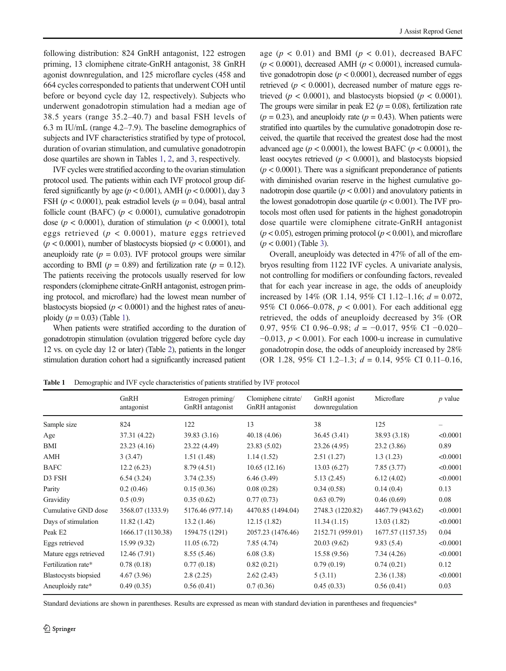following distribution: 824 GnRH antagonist, 122 estrogen priming, 13 clomiphene citrate-GnRH antagonist, 38 GnRH agonist downregulation, and 125 microflare cycles (458 and 664 cycles corresponded to patients that underwent COH until before or beyond cycle day 12, respectively). Subjects who underwent gonadotropin stimulation had a median age of 38.5 years (range 35.2–40.7) and basal FSH levels of 6.3 m IU/mL (range 4.2–7.9). The baseline demographics of subjects and IVF characteristics stratified by type of protocol, duration of ovarian stimulation, and cumulative gonadotropin dose quartiles are shown in Tables 1, [2,](#page-4-0) and [3](#page-5-0), respectively.

IVF cycles were stratified according to the ovarian stimulation protocol used. The patients within each IVF protocol group differed significantly by age ( $p < 0.001$ ), AMH ( $p < 0.0001$ ), day 3 FSH ( $p < 0.0001$ ), peak estradiol levels ( $p = 0.04$ ), basal antral follicle count (BAFC) ( $p < 0.0001$ ), cumulative gonadotropin dose ( $p < 0.0001$ ), duration of stimulation ( $p < 0.0001$ ), total eggs retrieved ( $p < 0.0001$ ), mature eggs retrieved  $(p < 0.0001)$ , number of blastocysts biopsied  $(p < 0.0001)$ , and aneuploidy rate ( $p = 0.03$ ). IVF protocol groups were similar according to BMI ( $p = 0.89$ ) and fertilization rate ( $p = 0.12$ ). The patients receiving the protocols usually reserved for low responders (clomiphene citrate-GnRH antagonist, estrogen priming protocol, and microflare) had the lowest mean number of blastocysts biopsied ( $p < 0.0001$ ) and the highest rates of aneuploidy  $(p = 0.03)$  (Table 1).

When patients were stratified according to the duration of gonadotropin stimulation (ovulation triggered before cycle day 12 vs. on cycle day 12 or later) (Table [2](#page-4-0)), patients in the longer stimulation duration cohort had a significantly increased patient

age ( $p < 0.01$ ) and BMI ( $p < 0.01$ ), decreased BAFC  $(p < 0.0001)$ , decreased AMH  $(p < 0.0001)$ , increased cumulative gonadotropin dose ( $p < 0.0001$ ), decreased number of eggs retrieved ( $p < 0.0001$ ), decreased number of mature eggs retrieved ( $p < 0.0001$ ), and blastocysts biopsied ( $p < 0.0001$ ). The groups were similar in peak E2 ( $p = 0.08$ ), fertilization rate  $(p = 0.23)$ , and aneuploidy rate  $(p = 0.43)$ . When patients were stratified into quartiles by the cumulative gonadotropin dose received, the quartile that received the greatest dose had the most advanced age ( $p < 0.0001$ ), the lowest BAFC ( $p < 0.0001$ ), the least oocytes retrieved ( $p < 0.0001$ ), and blastocysts biopsied  $(p < 0.0001)$ . There was a significant preponderance of patients with diminished ovarian reserve in the highest cumulative gonadotropin dose quartile ( $p < 0.001$ ) and anovulatory patients in the lowest gonadotropin dose quartile ( $p < 0.001$ ). The IVF protocols most often used for patients in the highest gonadotropin dose quartile were clomiphene citrate-GnRH antagonist  $(p < 0.05)$ , estrogen priming protocol  $(p < 0.001)$ , and microflare  $(p < 0.001)$  (Table [3\)](#page-5-0).

Overall, aneuploidy was detected in 47% of all of the embryos resulting from 1122 IVF cycles. A univariate analysis, not controlling for modifiers or confounding factors, revealed that for each year increase in age, the odds of aneuploidy increased by 14% (OR 1.14, 95% CI 1.12–1.16;  $d = 0.072$ , 95% CI 0.066–0.078,  $p < 0.001$ ). For each additional egg retrieved, the odds of aneuploidy decreased by 3% (OR 0.97, 95% CI 0.96–0.98;  $d = -0.017$ , 95% CI −0.020–  $-0.013$ ,  $p < 0.001$ ). For each 1000-u increase in cumulative gonadotropin dose, the odds of aneuploidy increased by 28% (OR 1.28, 95% CI 1.2–1.3;  $d = 0.14$ , 95% CI 0.11–0.16,

Table 1 Demographic and IVF cycle characteristics of patients stratified by IVF protocol

|                       | GnRH<br>antagonist | Estrogen priming<br>GnRH antagonist | Clomiphene citrate/<br>GnRH antagonist | GnRH agonist<br>downregulation | Microflare        | $p$ value |
|-----------------------|--------------------|-------------------------------------|----------------------------------------|--------------------------------|-------------------|-----------|
| Sample size           | 824                | 122                                 | 13                                     | 38                             | 125               |           |
| Age                   | 37.31 (4.22)       | 39.83 (3.16)                        | 40.18(4.06)                            | 36.45 (3.41)                   | 38.93 (3.18)      | < 0.0001  |
| BMI                   | 23.23(4.16)        | 23.22 (4.49)                        | 23.83 (5.02)                           | 23.26 (4.95)                   | 23.2(3.86)        | 0.89      |
| AMH                   | 3(3.47)            | 1.51(1.48)                          | 1.14(1.52)                             | 2.51(1.27)                     | 1.3(1.23)         | < 0.0001  |
| <b>BAFC</b>           | 12.2(6.23)         | 8.79(4.51)                          | 10.65(12.16)                           | 13.03(6.27)                    | 7.85(3.77)        | < 0.0001  |
| D3 FSH                | 6.54(3.24)         | 3.74(2.35)                          | 6.46(3.49)                             | 5.13(2.45)                     | 6.12(4.02)        | < 0.0001  |
| Parity                | 0.2(0.46)          | 0.15(0.36)                          | 0.08(0.28)                             | 0.34(0.58)                     | 0.14(0.4)         | 0.13      |
| Gravidity             | 0.5(0.9)           | 0.35(0.62)                          | 0.77(0.73)                             | 0.63(0.79)                     | 0.46(0.69)        | 0.08      |
| Cumulative GND dose   | 3568.07 (1333.9)   | 5176.46 (977.14)                    | 4470.85 (1494.04)                      | 2748.3 (1220.82)               | 4467.79 (943.62)  | < 0.0001  |
| Days of stimulation   | 11.82(1.42)        | 13.2(1.46)                          | 12.15(1.82)                            | 11.34(1.15)                    | 13.03(1.82)       | < 0.0001  |
| Peak E2               | 1666.17 (1130.38)  | 1594.75 (1291)                      | 2057.23 (1476.46)                      | 2152.71 (959.01)               | 1677.57 (1157.35) | 0.04      |
| Eggs retrieved        | 15.99(9.32)        | 11.05(6.72)                         | 7.85(4.74)                             | 20.03 (9.62)                   | 9.83(5.4)         | < 0.0001  |
| Mature eggs retrieved | 12.46(7.91)        | 8.55(5.46)                          | 6.08(3.8)                              | 15.58 (9.56)                   | 7.34(4.26)        | < 0.0001  |
| Fertilization rate*   | 0.78(0.18)         | 0.77(0.18)                          | 0.82(0.21)                             | 0.79(0.19)                     | 0.74(0.21)        | 0.12      |
| Blastocysts biopsied  | 4.67(3.96)         | 2.8(2.25)                           | 2.62(2.43)                             | 5(3.11)                        | 2.36(1.38)        | < 0.0001  |
| Aneuploidy rate*      | 0.49(0.35)         | 0.56(0.41)                          | 0.7(0.36)                              | 0.45(0.33)                     | 0.56(0.41)        | 0.03      |

Standard deviations are shown in parentheses. Results are expressed as mean with standard deviation in parentheses and frequencies\*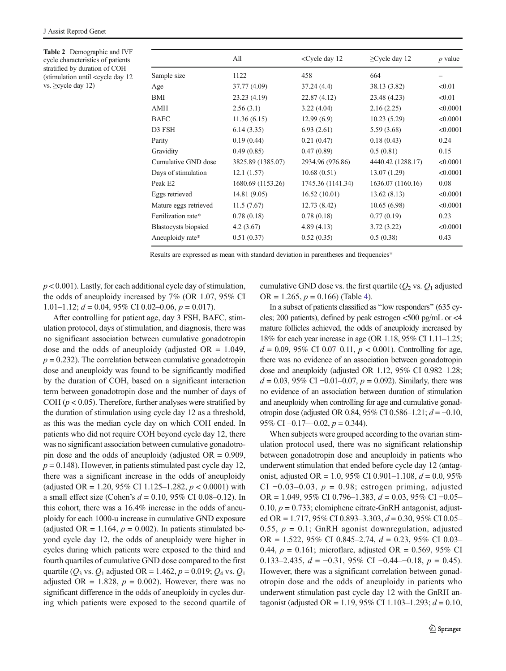<span id="page-4-0"></span>Table 2 Demographic and IVF cycle characteristics of patients stratified by duration of COH (stimulation until <cycle day 12 vs. ≥cycle day 12)

|                             | All               | <cycle 12<="" day="" th=""><th><math>\geq</math>Cycle day 12</th><th><math>p</math> value</th></cycle> | $\geq$ Cycle day 12 | $p$ value |
|-----------------------------|-------------------|--------------------------------------------------------------------------------------------------------|---------------------|-----------|
| Sample size                 | 1122              | 458                                                                                                    | 664                 |           |
| Age                         | 37.77 (4.09)      | 37.24(4.4)                                                                                             | 38.13 (3.82)        | < 0.01    |
| BMI                         | 23.23 (4.19)      | 22.87(4.12)                                                                                            | 23.48 (4.23)        | < 0.01    |
| <b>AMH</b>                  | 2.56(3.1)         | 3.22(4.04)                                                                                             | 2.16(2.25)          | < 0.0001  |
| <b>BAFC</b>                 | 11.36(6.15)       | 12.99(6.9)                                                                                             | 10.23(5.29)         | < 0.0001  |
| D3 FSH                      | 6.14(3.35)        | 6.93(2.61)                                                                                             | 5.59 (3.68)         | < 0.0001  |
| Parity                      | 0.19(0.44)        | 0.21(0.47)                                                                                             | 0.18(0.43)          | 0.24      |
| Gravidity                   | 0.49(0.85)        | 0.47(0.89)                                                                                             | 0.5(0.81)           | 0.15      |
| Cumulative GND dose         | 3825.89 (1385.07) | 2934.96 (976.86)                                                                                       | 4440.42 (1288.17)   | < 0.0001  |
| Days of stimulation         | 12.1(1.57)        | 10.68(0.51)                                                                                            | 13.07 (1.29)        | < 0.0001  |
| Peak E <sub>2</sub>         | 1680.69 (1153.26) | 1745.36 (1141.34)                                                                                      | 1636.07 (1160.16)   | 0.08      |
| Eggs retrieved              | 14.81 (9.05)      | 16.52(10.01)                                                                                           | 13.62(8.13)         | < 0.0001  |
| Mature eggs retrieved       | 11.5(7.67)        | 12.73(8.42)                                                                                            | 10.65(6.98)         | < 0.0001  |
| Fertilization rate*         | 0.78(0.18)        | 0.78(0.18)                                                                                             | 0.77(0.19)          | 0.23      |
| <b>Blastocysts</b> biopsied | 4.2(3.67)         | 4.89(4.13)                                                                                             | 3.72(3.22)          | < 0.0001  |
| Aneuploidy rate*            | 0.51(0.37)        | 0.52(0.35)                                                                                             | 0.5(0.38)           | 0.43      |

Results are expressed as mean with standard deviation in parentheses and frequencies\*

 $p < 0.001$ ). Lastly, for each additional cycle day of stimulation, the odds of aneuploidy increased by 7% (OR 1.07, 95% CI 1.01–1.12;  $d = 0.04$ , 95% CI 0.02–0.06,  $p = 0.017$ ).

After controlling for patient age, day 3 FSH, BAFC, stimulation protocol, days of stimulation, and diagnosis, there was no significant association between cumulative gonadotropin dose and the odds of aneuploidy (adjusted  $OR = 1.049$ ,  $p = 0.232$ ). The correlation between cumulative gonadotropin dose and aneuploidy was found to be significantly modified by the duration of COH, based on a significant interaction term between gonadotropin dose and the number of days of COH ( $p < 0.05$ ). Therefore, further analyses were stratified by the duration of stimulation using cycle day 12 as a threshold, as this was the median cycle day on which COH ended. In patients who did not require COH beyond cycle day 12, there was no significant association between cumulative gonadotropin dose and the odds of aneuploidy (adjusted  $OR = 0.909$ ,  $p = 0.148$ ). However, in patients stimulated past cycle day 12, there was a significant increase in the odds of aneuploidy (adjusted OR = 1.20, 95% CI 1.125–1.282,  $p < 0.0001$ ) with a small effect size (Cohen's  $d = 0.10, 95\%$  CI 0.08–0.12). In this cohort, there was a 16.4% increase in the odds of aneuploidy for each 1000-u increase in cumulative GND exposure (adjusted OR = 1.164,  $p = 0.002$ ). In patients stimulated beyond cycle day 12, the odds of aneuploidy were higher in cycles during which patients were exposed to the third and fourth quartiles of cumulative GND dose compared to the first quartile ( $Q_3$  vs.  $Q_1$  adjusted OR = 1.462,  $p = 0.019$ ;  $Q_4$  vs.  $Q_1$ adjusted OR = 1.828,  $p = 0.002$ ). However, there was no significant difference in the odds of aneuploidy in cycles during which patients were exposed to the second quartile of cumulative GND dose vs. the first quartile  $(Q_2 \text{ vs. } Q_1 \text{ adjusted})$  $OR = 1.265$ ,  $p = 0.166$ ) (Table [4](#page-5-0)).

In a subset of patients classified as "low responders" (635 cycles; 200 patients), defined by peak estrogen <500 pg/mL or <4 mature follicles achieved, the odds of aneuploidy increased by 18% for each year increase in age (OR 1.18, 95% CI 1.11–1.25;  $d = 0.09, 95\% \text{ CI } 0.07{\text -}0.11, p < 0.001$ ). Controlling for age, there was no evidence of an association between gonadotropin dose and aneuploidy (adjusted OR 1.12, 95% CI 0.982–1.28;  $d = 0.03$ , 95% CI −0.01–0.07,  $p = 0.092$ ). Similarly, there was no evidence of an association between duration of stimulation and aneuploidy when controlling for age and cumulative gonadotropin dose (adjusted OR 0.84, 95% CI 0.586–1.21;  $d = -0.10$ , 95% CI  $-0.17-0.02$ ,  $p = 0.344$ ).

When subjects were grouped according to the ovarian stimulation protocol used, there was no significant relationship between gonadotropin dose and aneuploidy in patients who underwent stimulation that ended before cycle day 12 (antagonist, adjusted OR = 1.0, 95% CI 0.901-1.108,  $d = 0.0$ , 95% CI  $-0.03-0.03$ ,  $p = 0.98$ ; estrogen priming, adjusted OR = 1.049, 95% CI 0.796–1.383,  $d = 0.03$ , 95% CI -0.05– 0.10,  $p = 0.733$ ; clomiphene citrate-GnRH antagonist, adjusted OR = 1.717, 95% CI 0.893–3.303,  $d = 0.30$ , 95% CI 0.05– 0.55,  $p = 0.1$ ; GnRH agonist downregulation, adjusted OR = 1.522, 95% CI 0.845–2.74,  $d = 0.23$ , 95% CI 0.03– 0.44,  $p = 0.161$ ; microflare, adjusted OR = 0.569, 95% CI 0.133–2.435,  $d = -0.31$ , 95% CI  $-0.44$ – $-0.18$ ,  $p = 0.45$ ). However, there was a significant correlation between gonadotropin dose and the odds of aneuploidy in patients who underwent stimulation past cycle day 12 with the GnRH antagonist (adjusted OR = 1.19, 95% CI 1.103-1.293;  $d = 0.10$ ,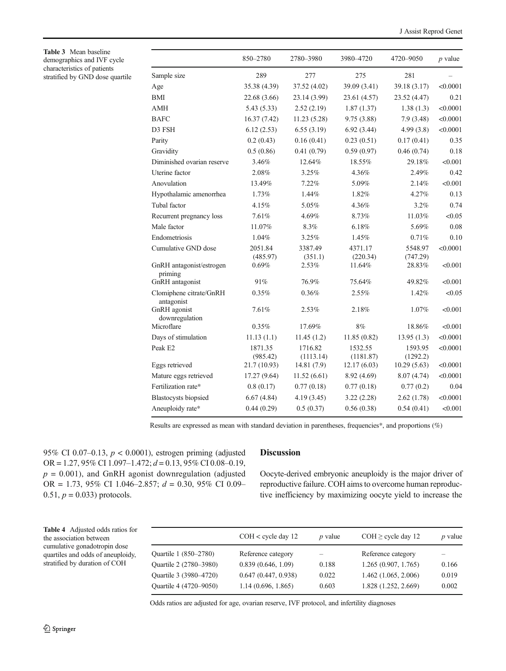<span id="page-5-0"></span>Table 3 Mean baseline demographics and IVF cycle characteristics of patients stratified by GND dose quartile

|                                       | 850-2780                 | 2780-3980               | 3980-4720                | 4720–9050               | $p$ value |
|---------------------------------------|--------------------------|-------------------------|--------------------------|-------------------------|-----------|
| Sample size                           | 289                      | 277                     | 275                      | 281                     |           |
| Age                                   | 35.38 (4.39)             | 37.52 (4.02)            | 39.09 (3.41)             | 39.18 (3.17)            | < 0.0001  |
| BМI                                   | 22.68 (3.66)             | 23.14 (3.99)            | 23.61 (4.57)             | 23.52 (4.47)            | 0.21      |
| AMH                                   | 5.43(5.33)               | 2.52(2.19)              | 1.87(1.37)               | 1.38(1.3)               | < 0.0001  |
| <b>BAFC</b>                           | 16.37 (7.42)             | 11.23(5.28)             | 9.75(3.88)               | 7.9(3.48)               | < 0.0001  |
| D3 FSH                                | 6.12(2.53)               | 6.55(3.19)              | 6.92(3.44)               | 4.99(3.8)               | < 0.0001  |
| Parity                                | 0.2(0.43)                | 0.16(0.41)              | 0.23(0.51)               | 0.17(0.41)              | 0.35      |
| Gravidity                             | 0.5(0.86)                | 0.41(0.79)              | 0.59(0.97)               | 0.46(0.74)              | 0.18      |
| Diminished ovarian reserve            | 3.46%                    | 12.64%                  | 18.55%                   | 29.18%                  | < 0.001   |
| Uterine factor                        | 2.08%                    | 3.25%                   | 4.36%                    | 2.49%                   | 0.42      |
| Anovulation                           | 13.49%                   | 7.22%                   | 5.09%                    | 2.14%                   | < 0.001   |
| Hypothalamic amenorrhea               | 1.73%                    | 1.44%                   | 1.82%                    | 4.27%                   | 0.13      |
| Tubal factor                          | 4.15%                    | 5.05%                   | 4.36%                    | 3.2%                    | 0.74      |
| Recurrent pregnancy loss              | 7.61%                    | 4.69%                   | 8.73%                    | 11.03%                  | < 0.05    |
| Male factor                           | 11.07%                   | 8.3%                    | 6.18%                    | 5.69%                   | 0.08      |
| Endometriosis                         | 1.04%                    | $3.25\%$                | 1.45%                    | 0.71%                   | 0.10      |
| Cumulative GND dose                   | 2051.84<br>(485.97)      | 3387.49<br>(351.1)      | 4371.17<br>(220.34)      | 5548.97<br>(747.29)     | < 0.0001  |
| GnRH antagonist/estrogen<br>priming   | 0.69%                    | 2.53%                   | 11.64%                   | 28.83%                  | < 0.001   |
| GnRH antagonist                       | 91%                      | 76.9%                   | 75.64%                   | 49.82%                  | < 0.001   |
| Clomiphene citrate/GnRH<br>antagonist | $0.35\%$                 | $0.36\%$                | 2.55%                    | 1.42%                   | < 0.05    |
| GnRH agonist<br>downregulation        | 7.61%                    | 2.53%                   | 2.18%                    | 1.07%                   | < 0.001   |
| Microflare                            | 0.35%                    | 17.69%                  | 8%                       | 18.86%                  | < 0.001   |
| Days of stimulation                   | 11.13(1.1)               | 11.45(1.2)              | 11.85 (0.82)             | 13.95(1.3)              | < 0.0001  |
| Peak E2                               | 1871.35                  | 1716.82                 | 1532.55                  | 1593.95                 | < 0.0001  |
| Eggs retrieved                        | (985.42)<br>21.7 (10.93) | (1113.14)<br>14.81(7.9) | (1181.87)<br>12.17(6.03) | (1292.2)<br>10.29(5.63) | < 0.0001  |
| Mature eggs retrieved                 | 17.27 (9.64)             | 11.52(6.61)             | 8.92 (4.69)              | 8.07(4.74)              | < 0.0001  |
| Fertilization rate*                   | 0.8(0.17)                | 0.77(0.18)              | 0.77(0.18)               | 0.77(0.2)               | 0.04      |
| <b>Blastocysts</b> biopsied           | 6.67(4.84)               | 4.19(3.45)              | 3.22(2.28)               | 2.62(1.78)              | < 0.0001  |
| Aneuploidy rate*                      | 0.44(0.29)               | 0.5(0.37)               | 0.56(0.38)               | 0.54(0.41)              | < 0.001   |

Results are expressed as mean with standard deviation in parentheses, frequencies\*, and proportions (%)

95% CI 0.07-0.13,  $p < 0.0001$ ), estrogen priming (adjusted OR = 1.27, 95% CI 1.097-1.472;  $d = 0.13$ , 95% CI 0.08-0.19,  $p = 0.001$ ), and GnRH agonist downregulation (adjusted OR = 1.73, 95% CI 1.046-2.857;  $d = 0.30$ , 95% CI 0.09- $0.51, p = 0.033$ ) protocols.

# Discussion

Oocyte-derived embryonic aneuploidy is the major driver of reproductive failure. COH aims to overcome human reproductive inefficiency by maximizing oocyte yield to increase the

Table 4 Adjusted odds ratios for the association between cumulative gonadotropin dose quartiles and odds of aneuploidy, stratified by duration of COH

|                        | $COH < c$ ycle day 12 | $p$ value | $COH \geq$ cycle day 12 | <i>p</i> value |
|------------------------|-----------------------|-----------|-------------------------|----------------|
| Quartile 1 (850–2780)  | Reference category    |           | Reference category      |                |
| Quartile 2 (2780–3980) | 0.839(0.646, 1.09)    | 0.188     | 1.265(0.907, 1.765)     | 0.166          |
| Quartile 3 (3980-4720) | 0.647(0.447, 0.938)   | 0.022     | 1.462(1.065, 2.006)     | 0.019          |
| Quartile 4 (4720–9050) | 1.14(0.696, 1.865)    | 0.603     | 1.828 (1.252, 2.669)    | 0.002          |

Odds ratios are adjusted for age, ovarian reserve, IVF protocol, and infertility diagnoses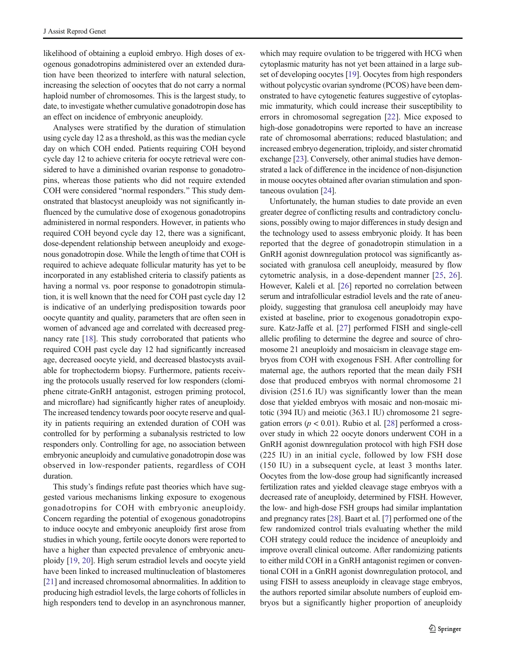likelihood of obtaining a euploid embryo. High doses of exogenous gonadotropins administered over an extended duration have been theorized to interfere with natural selection, increasing the selection of oocytes that do not carry a normal haploid number of chromosomes. This is the largest study, to date, to investigate whether cumulative gonadotropin dose has an effect on incidence of embryonic aneuploidy.

Analyses were stratified by the duration of stimulation using cycle day 12 as a threshold, as this was the median cycle day on which COH ended. Patients requiring COH beyond cycle day 12 to achieve criteria for oocyte retrieval were considered to have a diminished ovarian response to gonadotropins, whereas those patients who did not require extended COH were considered "normal responders." This study demonstrated that blastocyst aneuploidy was not significantly influenced by the cumulative dose of exogenous gonadotropins administered in normal responders. However, in patients who required COH beyond cycle day 12, there was a significant, dose-dependent relationship between aneuploidy and exogenous gonadotropin dose. While the length of time that COH is required to achieve adequate follicular maturity has yet to be incorporated in any established criteria to classify patients as having a normal vs. poor response to gonadotropin stimulation, it is well known that the need for COH past cycle day 12 is indicative of an underlying predisposition towards poor oocyte quantity and quality, parameters that are often seen in women of advanced age and correlated with decreased pregnancy rate [[18\]](#page-8-0). This study corroborated that patients who required COH past cycle day 12 had significantly increased age, decreased oocyte yield, and decreased blastocysts available for trophectoderm biopsy. Furthermore, patients receiving the protocols usually reserved for low responders (clomiphene citrate-GnRH antagonist, estrogen priming protocol, and microflare) had significantly higher rates of aneuploidy. The increased tendency towards poor oocyte reserve and quality in patients requiring an extended duration of COH was controlled for by performing a subanalysis restricted to low responders only. Controlling for age, no association between embryonic aneuploidy and cumulative gonadotropin dose was observed in low-responder patients, regardless of COH duration.

This study's findings refute past theories which have suggested various mechanisms linking exposure to exogenous gonadotropins for COH with embryonic aneuploidy. Concern regarding the potential of exogenous gonadotropins to induce oocyte and embryonic aneuploidy first arose from studies in which young, fertile oocyte donors were reported to have a higher than expected prevalence of embryonic aneuploidy [[19,](#page-8-0) [20](#page-8-0)]. High serum estradiol levels and oocyte yield have been linked to increased multinucleation of blastomeres [\[21\]](#page-8-0) and increased chromosomal abnormalities. In addition to producing high estradiol levels, the large cohorts of follicles in high responders tend to develop in an asynchronous manner,

which may require ovulation to be triggered with HCG when cytoplasmic maturity has not yet been attained in a large subset of developing oocytes [[19\]](#page-8-0). Oocytes from high responders without polycystic ovarian syndrome (PCOS) have been demonstrated to have cytogenetic features suggestive of cytoplasmic immaturity, which could increase their susceptibility to errors in chromosomal segregation [[22\]](#page-8-0). Mice exposed to high-dose gonadotropins were reported to have an increase rate of chromosomal aberrations; reduced blastulation; and increased embryo degeneration, triploidy, and sister chromatid exchange [\[23](#page-9-0)]. Conversely, other animal studies have demonstrated a lack of difference in the incidence of non-disjunction in mouse oocytes obtained after ovarian stimulation and spontaneous ovulation [[24\]](#page-9-0).

Unfortunately, the human studies to date provide an even greater degree of conflicting results and contradictory conclusions, possibly owing to major differences in study design and the technology used to assess embryonic ploidy. It has been reported that the degree of gonadotropin stimulation in a GnRH agonist downregulation protocol was significantly associated with granulosa cell aneuploidy, measured by flow cytometric analysis, in a dose-dependent manner [\[25](#page-9-0), [26\]](#page-9-0). However, Kaleli et al. [\[26\]](#page-9-0) reported no correlation between serum and intrafollicular estradiol levels and the rate of aneuploidy, suggesting that granulosa cell aneuploidy may have existed at baseline, prior to exogenous gonadotropin exposure. Katz-Jaffe et al. [[27\]](#page-9-0) performed FISH and single-cell allelic profiling to determine the degree and source of chromosome 21 aneuploidy and mosaicism in cleavage stage embryos from COH with exogenous FSH. After controlling for maternal age, the authors reported that the mean daily FSH dose that produced embryos with normal chromosome 21 division (251.6 IU) was significantly lower than the mean dose that yielded embryos with mosaic and non-mosaic mitotic (394 IU) and meiotic (363.1 IU) chromosome 21 segregation errors ( $p < 0.01$ ). Rubio et al. [\[28\]](#page-9-0) performed a crossover study in which 22 oocyte donors underwent COH in a GnRH agonist downregulation protocol with high FSH dose (225 IU) in an initial cycle, followed by low FSH dose (150 IU) in a subsequent cycle, at least 3 months later. Oocytes from the low-dose group had significantly increased fertilization rates and yielded cleavage stage embryos with a decreased rate of aneuploidy, determined by FISH. However, the low- and high-dose FSH groups had similar implantation and pregnancy rates [[28](#page-9-0)]. Baart et al. [\[7\]](#page-8-0) performed one of the few randomized control trials evaluating whether the mild COH strategy could reduce the incidence of aneuploidy and improve overall clinical outcome. After randomizing patients to either mild COH in a GnRH antagonist regimen or conventional COH in a GnRH agonist downregulation protocol, and using FISH to assess aneuploidy in cleavage stage embryos, the authors reported similar absolute numbers of euploid embryos but a significantly higher proportion of aneuploidy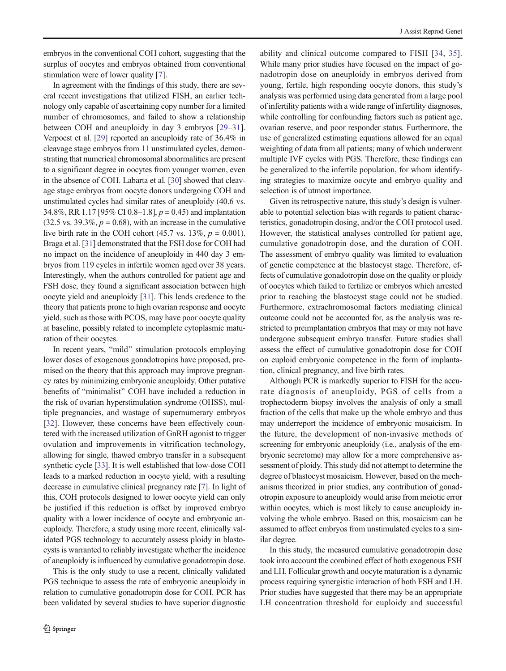embryos in the conventional COH cohort, suggesting that the surplus of oocytes and embryos obtained from conventional stimulation were of lower quality [\[7](#page-8-0)].

In agreement with the findings of this study, there are several recent investigations that utilized FISH, an earlier technology only capable of ascertaining copy number for a limited number of chromosomes, and failed to show a relationship between COH and aneuploidy in day 3 embryos [\[29](#page-9-0)–[31](#page-9-0)]. Verpoest et al. [\[29\]](#page-9-0) reported an aneuploidy rate of 36.4% in cleavage stage embryos from 11 unstimulated cycles, demonstrating that numerical chromosomal abnormalities are present to a significant degree in oocytes from younger women, even in the absence of COH. Labarta et al. [\[30\]](#page-9-0) showed that cleavage stage embryos from oocyte donors undergoing COH and unstimulated cycles had similar rates of aneuploidy (40.6 vs. 34.8%, RR 1.17 [95% CI 0.8–1.8],  $p = 0.45$  and implantation  $(32.5 \text{ vs. } 39.3\%, p = 0.68)$ , with an increase in the cumulative live birth rate in the COH cohort (45.7 vs.  $13\%, p = 0.001$ ). Braga et al. [[31](#page-9-0)] demonstrated that the FSH dose for COH had no impact on the incidence of aneuploidy in 440 day 3 embryos from 119 cycles in infertile women aged over 38 years. Interestingly, when the authors controlled for patient age and FSH dose, they found a significant association between high oocyte yield and aneuploidy [\[31\]](#page-9-0). This lends credence to the theory that patients prone to high ovarian response and oocyte yield, such as those with PCOS, may have poor oocyte quality at baseline, possibly related to incomplete cytoplasmic maturation of their oocytes.

In recent years, "mild" stimulation protocols employing lower doses of exogenous gonadotropins have proposed, premised on the theory that this approach may improve pregnancy rates by minimizing embryonic aneuploidy. Other putative benefits of "minimalist" COH have included a reduction in the risk of ovarian hyperstimulation syndrome (OHSS), multiple pregnancies, and wastage of supernumerary embryos [\[32](#page-9-0)]. However, these concerns have been effectively countered with the increased utilization of GnRH agonist to trigger ovulation and improvements in vitrification technology, allowing for single, thawed embryo transfer in a subsequent synthetic cycle [\[33\]](#page-9-0). It is well established that low-dose COH leads to a marked reduction in oocyte yield, with a resulting decrease in cumulative clinical pregnancy rate [[7\]](#page-8-0). In light of this, COH protocols designed to lower oocyte yield can only be justified if this reduction is offset by improved embryo quality with a lower incidence of oocyte and embryonic aneuploidy. Therefore, a study using more recent, clinically validated PGS technology to accurately assess ploidy in blastocysts is warranted to reliably investigate whether the incidence of aneuploidy is influenced by cumulative gonadotropin dose.

This is the only study to use a recent, clinically validated PGS technique to assess the rate of embryonic aneuploidy in relation to cumulative gonadotropin dose for COH. PCR has been validated by several studies to have superior diagnostic ability and clinical outcome compared to FISH [[34,](#page-9-0) [35](#page-9-0)]. While many prior studies have focused on the impact of gonadotropin dose on aneuploidy in embryos derived from young, fertile, high responding oocyte donors, this study's analysis was performed using data generated from a large pool of infertility patients with a wide range of infertility diagnoses, while controlling for confounding factors such as patient age, ovarian reserve, and poor responder status. Furthermore, the use of generalized estimating equations allowed for an equal weighting of data from all patients; many of which underwent multiple IVF cycles with PGS. Therefore, these findings can be generalized to the infertile population, for whom identifying strategies to maximize oocyte and embryo quality and selection is of utmost importance.

Given its retrospective nature, this study's design is vulnerable to potential selection bias with regards to patient characteristics, gonadotropin dosing, and/or the COH protocol used. However, the statistical analyses controlled for patient age, cumulative gonadotropin dose, and the duration of COH. The assessment of embryo quality was limited to evaluation of genetic competence at the blastocyst stage. Therefore, effects of cumulative gonadotropin dose on the quality or ploidy of oocytes which failed to fertilize or embryos which arrested prior to reaching the blastocyst stage could not be studied. Furthermore, extrachromosomal factors mediating clinical outcome could not be accounted for, as the analysis was restricted to preimplantation embryos that may or may not have undergone subsequent embryo transfer. Future studies shall assess the effect of cumulative gonadotropin dose for COH on euploid embryonic competence in the form of implantation, clinical pregnancy, and live birth rates.

Although PCR is markedly superior to FISH for the accurate diagnosis of aneuploidy, PGS of cells from a trophectoderm biopsy involves the analysis of only a small fraction of the cells that make up the whole embryo and thus may underreport the incidence of embryonic mosaicism. In the future, the development of non-invasive methods of screening for embryonic aneuploidy (i.e., analysis of the embryonic secretome) may allow for a more comprehensive assessment of ploidy. This study did not attempt to determine the degree of blastocyst mosaicism. However, based on the mechanisms theorized in prior studies, any contribution of gonadotropin exposure to aneuploidy would arise from meiotic error within oocytes, which is most likely to cause aneuploidy involving the whole embryo. Based on this, mosaicism can be assumed to affect embryos from unstimulated cycles to a similar degree.

In this study, the measured cumulative gonadotropin dose took into account the combined effect of both exogenous FSH and LH. Follicular growth and oocyte maturation is a dynamic process requiring synergistic interaction of both FSH and LH. Prior studies have suggested that there may be an appropriate LH concentration threshold for euploidy and successful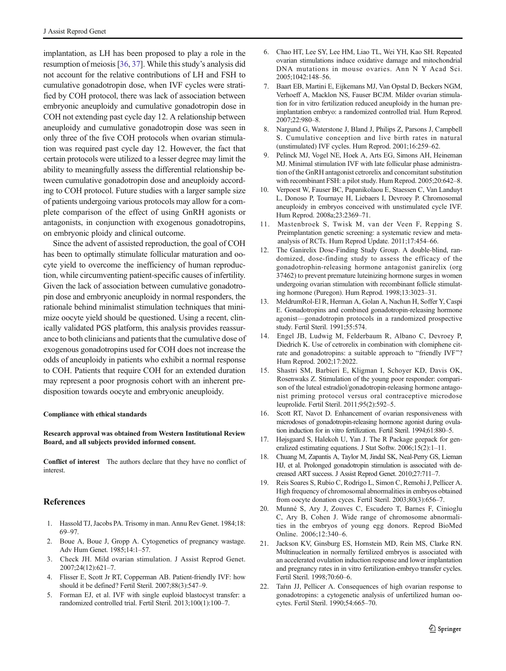<span id="page-8-0"></span>implantation, as LH has been proposed to play a role in the resumption of meiosis [\[36,](#page-9-0) [37](#page-9-0)]. While this study's analysis did not account for the relative contributions of LH and FSH to cumulative gonadotropin dose, when IVF cycles were stratified by COH protocol, there was lack of association between embryonic aneuploidy and cumulative gonadotropin dose in COH not extending past cycle day 12. A relationship between aneuploidy and cumulative gonadotropin dose was seen in only three of the five COH protocols when ovarian stimulation was required past cycle day 12. However, the fact that certain protocols were utilized to a lesser degree may limit the ability to meaningfully assess the differential relationship between cumulative gonadotropin dose and aneuploidy according to COH protocol. Future studies with a larger sample size of patients undergoing various protocols may allow for a complete comparison of the effect of using GnRH agonists or antagonists, in conjunction with exogenous gonadotropins, on embryonic ploidy and clinical outcome.

Since the advent of assisted reproduction, the goal of COH has been to optimally stimulate follicular maturation and oocyte yield to overcome the inefficiency of human reproduction, while circumventing patient-specific causes of infertility. Given the lack of association between cumulative gonadotropin dose and embryonic aneuploidy in normal responders, the rationale behind minimalist stimulation techniques that minimize oocyte yield should be questioned. Using a recent, clinically validated PGS platform, this analysis provides reassurance to both clinicians and patients that the cumulative dose of exogenous gonadotropins used for COH does not increase the odds of aneuploidy in patients who exhibit a normal response to COH. Patients that require COH for an extended duration may represent a poor prognosis cohort with an inherent predisposition towards oocyte and embryonic aneuploidy.

#### Compliance with ethical standards

#### Research approval was obtained from Western Institutional Review Board, and all subjects provided informed consent.

Conflict of interest The authors declare that they have no conflict of interest.

# References

- 1. Hassold TJ, Jacobs PA. Trisomy in man. Annu Rev Genet. 1984;18: 69–97.
- 2. Boue A, Boue J, Gropp A. Cytogenetics of pregnancy wastage. Adv Hum Genet. 1985;14:1–57.
- 3. Check JH. Mild ovarian stimulation. J Assist Reprod Genet. 2007;24(12):621–7.
- 4. Flisser E, Scott Jr RT, Copperman AB. Patient-friendly IVF: how should it be defined? Fertil Steril. 2007;88(3):547–9.
- 5. Forman EJ, et al. IVF with single euploid blastocyst transfer: a randomized controlled trial. Fertil Steril. 2013;100(1):100–7.
- 6. Chao HT, Lee SY, Lee HM, Liao TL, Wei YH, Kao SH. Repeated ovarian stimulations induce oxidative damage and mitochondrial DNA mutations in mouse ovaries. Ann N Y Acad Sci. 2005;1042:148–56.
- 7. Baart EB, Martini E, Eijkemans MJ, Van Opstal D, Beckers NGM, Verhoeff A, Macklon NS, Fauser BCJM. Milder ovarian stimulation for in vitro fertilization reduced aneuploidy in the human preimplantation embryo: a randomized controlled trial. Hum Reprod. 2007;22:980–8.
- 8. Nargund G, Waterstone J, Bland J, Philips Z, Parsons J, Campbell S. Cumulative conception and live birth rates in natural (unstimulated) IVF cycles. Hum Reprod. 2001;16:259–62.
- 9. Pelinck MJ, Vogel NE, Hoek A, Arts EG, Simons AH, Heineman MJ. Minimal stimulation IVF with late follicular phase administration of the GnRH antagonist cetrorelix and concomitant substitution with recombinant FSH: a pilot study. Hum Reprod. 2005;20:642–8.
- 10. Verpoest W, Fauser BC, Papanikolaou E, Staessen C, Van Landuyt L, Donoso P, Tournaye H, Liebaers I, Devroey P. Chromosomal aneuploidy in embryos conceived with unstimulated cycle IVF. Hum Reprod. 2008a;23:2369–71.
- 11. Mastenbroek S, Twisk M, van der Veen F, Repping S. Preimplantation genetic screening: a systematic review and metaanalysis of RCTs. Hum Reprod Update. 2011;17:454–66.
- 12. The Ganirelix Dose-Finding Study Group. A double-blind, randomized, dose-finding study to assess the efficacy of the gonadotrophin-releasing hormone antagonist ganirelix (org 37462) to prevent premature luteinizing hormone surges in women undergoing ovarian stimulation with recombinant follicle stimulating hormone (Puregon). Hum Reprod. 1998;13:3023–31.
- 13. MeldrumRol-El R, Herman A, Golan A, Nachun H, Soffer Y, Caspi E. Gonadotropins and combined gonadotropin-releasing hormone agonist—gonadotropin protocols in a randomized prospective study. Fertil Steril. 1991;55:574.
- 14. Engel JB, Ludwig M, Felderbaum R, Albano C, Devroey P, Diedrich K. Use of cetrorelix in combination with clomiphene citrate and gonadotropins: a suitable approach to "friendly IVF"? Hum Reprod. 2002;17:2022.
- 15. Shastri SM, Barbieri E, Kligman I, Schoyer KD, Davis OK, Rosenwaks Z. Stimulation of the young poor responder: comparison of the luteal estradiol/gonadotropin-releasing hormone antagonist priming protocol versus oral contraceptive microdose leuprolide. Fertil Steril. 2011;95(2):592–5.
- Scott RT, Navot D. Enhancement of ovarian responsiveness with microdoses of gonadotropin-releasing hormone agonist during ovulation induction for in vitro fertilization. Fertil Steril. 1994;61:880–5.
- 17. Højsgaard S, Halekoh U, Yan J. The R Package geepack for generalized estimating equations. J Stat Softw. 2006;15(2):1–11.
- 18. Chuang M, Zapantis A, Taylor M, Jindal SK, Neal-Perry GS, Lieman HJ, et al. Prolonged gonadotropin stimulation is associated with decreased ART success. J Assist Reprod Genet. 2010;27:711–7.
- 19. Reis Soares S, Rubio C, Rodrigo L, Simon C, Remohi J, Pellicer A. High frequency of chromosomal abnormalities in embryos obtained from oocyte donation cyces. Fertil Steril. 2003;80(3):656–7.
- 20. Munné S, Ary J, Zouves C, Escudero T, Barnes F, Cinioglu C, Ary B, Cohen J. Wide range of chromosome abnormalities in the embryos of young egg donors. Reprod BioMed Online. 2006;12:340–6.
- 21. Jackson KV, Ginsburg ES, Hornstein MD, Rein MS, Clarke RN. Multinucleation in normally fertilized embryos is associated with an accelerated ovulation induction response and lower implantation and pregnancy rates in in vitro fertilization-embryo transfer cycles. Fertil Steril. 1998;70:60–6.
- 22. Taŕın JJ, Pellicer A. Consequences of high ovarian response to gonadotropins: a cytogenetic analysis of unfertilized human oocytes. Fertil Steril. 1990;54:665–70.